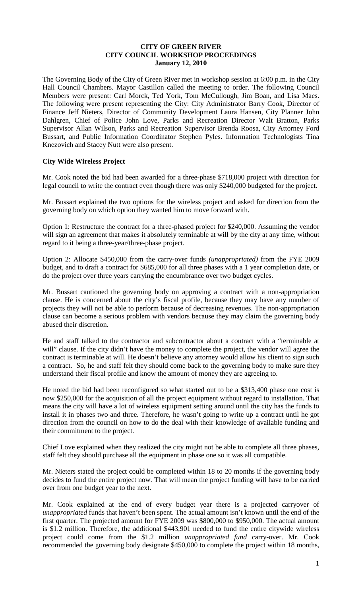### **CITY OF GREEN RIVER CITY COUNCIL WORKSHOP PROCEEDINGS January 12, 2010**

The Governing Body of the City of Green River met in workshop session at 6:00 p.m. in the City Hall Council Chambers. Mayor Castillon called the meeting to order. The following Council Members were present: Carl Morck, Ted York, Tom McCullough, Jim Boan, and Lisa Maes. The following were present representing the City: City Administrator Barry Cook, Director of Finance Jeff Nieters, Director of Community Development Laura Hansen, City Planner John Dahlgren, Chief of Police John Love, Parks and Recreation Director Walt Bratton, Parks Supervisor Allan Wilson, Parks and Recreation Supervisor Brenda Roosa, City Attorney Ford Bussart, and Public Information Coordinator Stephen Pyles. Information Technologists Tina Knezovich and Stacey Nutt were also present.

### **City Wide Wireless Project**

Mr. Cook noted the bid had been awarded for a three-phase \$718,000 project with direction for legal council to write the contract even though there was only \$240,000 budgeted for the project.

Mr. Bussart explained the two options for the wireless project and asked for direction from the governing body on which option they wanted him to move forward with.

Option 1: Restructure the contract for a three-phased project for \$240,000. Assuming the vendor will sign an agreement that makes it absolutely terminable at will by the city at any time, without regard to it being a three-year/three-phase project.

Option 2: Allocate \$450,000 from the carry-over funds *(unappropriated)* from the FYE 2009 budget, and to draft a contract for \$685,000 for all three phases with a 1 year completion date, or do the project over three years carrying the encumbrance over two budget cycles.

Mr. Bussart cautioned the governing body on approving a contract with a non-appropriation clause. He is concerned about the city's fiscal profile, because they may have any number of projects they will not be able to perform because of decreasing revenues. The non-appropriation clause can become a serious problem with vendors because they may claim the governing body abused their discretion.

He and staff talked to the contractor and subcontractor about a contract with a "terminable at will" clause. If the city didn't have the money to complete the project, the vendor will agree the contract is terminable at will. He doesn't believe any attorney would allow his client to sign such a contract. So, he and staff felt they should come back to the governing body to make sure they understand their fiscal profile and know the amount of money they are agreeing to.

He noted the bid had been reconfigured so what started out to be a \$313,400 phase one cost is now \$250,000 for the acquisition of all the project equipment without regard to installation. That means the city will have a lot of wireless equipment setting around until the city has the funds to install it in phases two and three. Therefore, he wasn't going to write up a contract until he got direction from the council on how to do the deal with their knowledge of available funding and their commitment to the project.

Chief Love explained when they realized the city might not be able to complete all three phases, staff felt they should purchase all the equipment in phase one so it was all compatible.

Mr. Nieters stated the project could be completed within 18 to 20 months if the governing body decides to fund the entire project now. That will mean the project funding will have to be carried over from one budget year to the next.

Mr. Cook explained at the end of every budget year there is a projected carryover of *unappropriated* funds that haven't been spent. The actual amount isn't known until the end of the first quarter. The projected amount for FYE 2009 was \$800,000 to \$950,000. The actual amount is \$1.2 million. Therefore, the additional \$443,901 needed to fund the entire citywide wireless project could come from the \$1.2 million *unappropriated fund* carry-over. Mr. Cook recommended the governing body designate \$450,000 to complete the project within 18 months,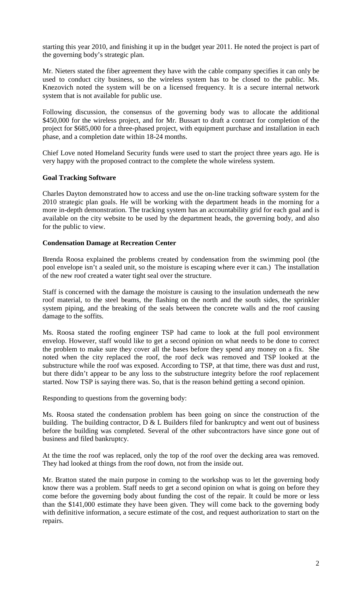starting this year 2010, and finishing it up in the budget year 2011. He noted the project is part of the governing body's strategic plan.

Mr. Nieters stated the fiber agreement they have with the cable company specifies it can only be used to conduct city business, so the wireless system has to be closed to the public. Ms. Knezovich noted the system will be on a licensed frequency. It is a secure internal network system that is not available for public use.

Following discussion, the consensus of the governing body was to allocate the additional \$450,000 for the wireless project, and for Mr. Bussart to draft a contract for completion of the project for \$685,000 for a three-phased project, with equipment purchase and installation in each phase, and a completion date within 18-24 months.

Chief Love noted Homeland Security funds were used to start the project three years ago. He is very happy with the proposed contract to the complete the whole wireless system.

### **Goal Tracking Software**

Charles Dayton demonstrated how to access and use the on-line tracking software system for the 2010 strategic plan goals. He will be working with the department heads in the morning for a more in-depth demonstration. The tracking system has an accountability grid for each goal and is available on the city website to be used by the department heads, the governing body, and also for the public to view.

### **Condensation Damage at Recreation Center**

Brenda Roosa explained the problems created by condensation from the swimming pool (the pool envelope isn't a sealed unit, so the moisture is escaping where ever it can.) The installation of the new roof created a water tight seal over the structure.

Staff is concerned with the damage the moisture is causing to the insulation underneath the new roof material, to the steel beams, the flashing on the north and the south sides, the sprinkler system piping, and the breaking of the seals between the concrete walls and the roof causing damage to the soffits.

Ms. Roosa stated the roofing engineer TSP had came to look at the full pool environment envelop. However, staff would like to get a second opinion on what needs to be done to correct the problem to make sure they cover all the bases before they spend any money on a fix. She noted when the city replaced the roof, the roof deck was removed and TSP looked at the substructure while the roof was exposed. According to TSP, at that time, there was dust and rust, but there didn't appear to be any loss to the substructure integrity before the roof replacement started. Now TSP is saying there was. So, that is the reason behind getting a second opinion.

Responding to questions from the governing body:

Ms. Roosa stated the condensation problem has been going on since the construction of the building. The building contractor,  $D \& L$  Builders filed for bankruptcy and went out of business before the building was completed. Several of the other subcontractors have since gone out of business and filed bankruptcy.

At the time the roof was replaced, only the top of the roof over the decking area was removed. They had looked at things from the roof down, not from the inside out.

Mr. Bratton stated the main purpose in coming to the workshop was to let the governing body know there was a problem. Staff needs to get a second opinion on what is going on before they come before the governing body about funding the cost of the repair. It could be more or less than the \$141,000 estimate they have been given. They will come back to the governing body with definitive information, a secure estimate of the cost, and request authorization to start on the repairs.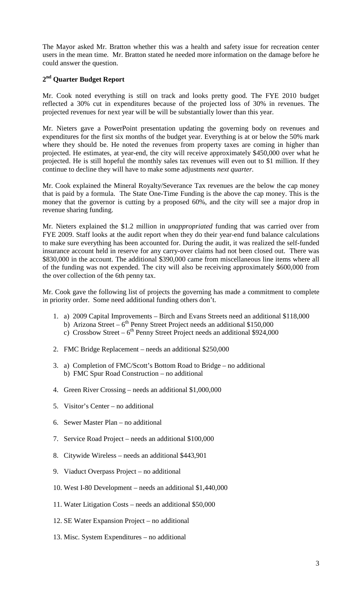The Mayor asked Mr. Bratton whether this was a health and safety issue for recreation center users in the mean time. Mr. Bratton stated he needed more information on the damage before he could answer the question.

# **2nd Quarter Budget Report**

Mr. Cook noted everything is still on track and looks pretty good. The FYE 2010 budget reflected a 30% cut in expenditures because of the projected loss of 30% in revenues. The projected revenues for next year will be will be substantially lower than this year.

Mr. Nieters gave a PowerPoint presentation updating the governing body on revenues and expenditures for the first six months of the budget year. Everything is at or below the 50% mark where they should be. He noted the revenues from property taxes are coming in higher than projected. He estimates, at year-end, the city will receive approximately \$450,000 over what he projected. He is still hopeful the monthly sales tax revenues will even out to \$1 million. If they continue to decline they will have to make some adjustments *next quarter.*

Mr. Cook explained the Mineral Royalty/Severance Tax revenues are the below the cap money that is paid by a formula. The State One-Time Funding is the above the cap money. This is the money that the governor is cutting by a proposed 60%, and the city will see a major drop in revenue sharing funding.

Mr. Nieters explained the \$1.2 million in *unappropriated* funding that was carried over from FYE 2009. Staff looks at the audit report when they do their year-end fund balance calculations to make sure everything has been accounted for. During the audit, it was realized the self-funded insurance account held in reserve for any carry-over claims had not been closed out. There was \$830,000 in the account. The additional \$390,000 came from miscellaneous line items where all of the funding was not expended. The city will also be receiving approximately \$600,000 from the over collection of the 6th penny tax.

Mr. Cook gave the following list of projects the governing has made a commitment to complete in priority order. Some need additional funding others don't.

- 1. a) 2009 Capital Improvements Birch and Evans Streets need an additional \$118,000
	- b) Arizona Street  $6<sup>th</sup>$  Penny Street Project needs an additional \$150,000
	- c) Crossbow Street  $6<sup>th</sup>$  Penny Street Project needs an additional \$924,000
- 2. FMC Bridge Replacement needs an additional \$250,000
- 3. a) Completion of FMC/Scott's Bottom Road to Bridge no additional b) FMC Spur Road Construction – no additional
- 4. Green River Crossing needs an additional \$1,000,000
- 5. Visitor's Center no additional
- 6. Sewer Master Plan no additional
- 7. Service Road Project needs an additional \$100,000
- 8. Citywide Wireless needs an additional \$443,901
- 9. Viaduct Overpass Project no additional
- 10. West I-80 Development needs an additional \$1,440,000
- 11. Water Litigation Costs needs an additional \$50,000
- 12. SE Water Expansion Project no additional
- 13. Misc. System Expenditures no additional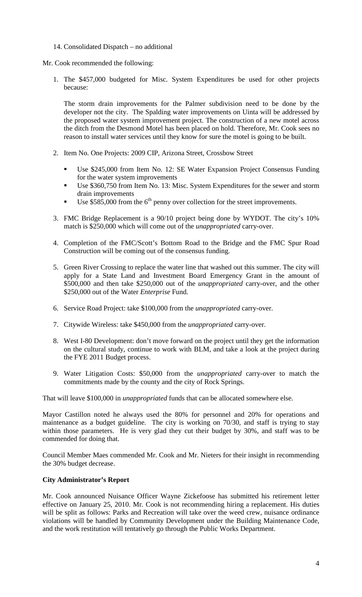14. Consolidated Dispatch – no additional

Mr. Cook recommended the following:

1. The \$457,000 budgeted for Misc. System Expenditures be used for other projects because:

The storm drain improvements for the Palmer subdivision need to be done by the developer not the city. The Spalding water improvements on Uinta will be addressed by the proposed water system improvement project. The construction of a new motel across the ditch from the Desmond Motel has been placed on hold. Therefore, Mr. Cook sees no reason to install water services until they know for sure the motel is going to be built.

- 2. Item No. One Projects: 2009 CIP, Arizona Street, Crossbow Street
	- Use \$245,000 from Item No. 12: SE Water Expansion Project Consensus Funding for the water system improvements
	- Use \$360,750 from Item No. 13: Misc. System Expenditures for the sewer and storm drain improvements
	- Use  $$585,000$  from the  $6<sup>th</sup>$  penny over collection for the street improvements.
- 3. FMC Bridge Replacement is a 90/10 project being done by WYDOT. The city's 10% match is \$250,000 which will come out of the *unappropriated* carry-over.
- 4. Completion of the FMC/Scott's Bottom Road to the Bridge and the FMC Spur Road Construction will be coming out of the consensus funding.
- 5. Green River Crossing to replace the water line that washed out this summer. The city will apply for a State Land and Investment Board Emergency Grant in the amount of \$500,000 and then take \$250,000 out of the *unappropriated* carry-over, and the other \$250,000 out of the Water *Enterprise* Fund.
- 6. Service Road Project: take \$100,000 from the *unappropriated* carry-over.
- 7. Citywide Wireless: take \$450,000 from the *unappropriated* carry-over.
- 8. West I-80 Development: don't move forward on the project until they get the information on the cultural study, continue to work with BLM, and take a look at the project during the FYE 2011 Budget process.
- 9. Water Litigation Costs: \$50,000 from the *unappropriated* carry-over to match the commitments made by the county and the city of Rock Springs.

That will leave \$100,000 in *unappropriated* funds that can be allocated somewhere else.

Mayor Castillon noted he always used the 80% for personnel and 20% for operations and maintenance as a budget guideline. The city is working on 70/30, and staff is trying to stay within those parameters. He is very glad they cut their budget by 30%, and staff was to be commended for doing that.

Council Member Maes commended Mr. Cook and Mr. Nieters for their insight in recommending the 30% budget decrease.

# **City Administrator's Report**

Mr. Cook announced Nuisance Officer Wayne Zickefoose has submitted his retirement letter effective on January 25, 2010. Mr. Cook is not recommending hiring a replacement. His duties will be split as follows: Parks and Recreation will take over the weed crew, nuisance ordinance violations will be handled by Community Development under the Building Maintenance Code, and the work restitution will tentatively go through the Public Works Department.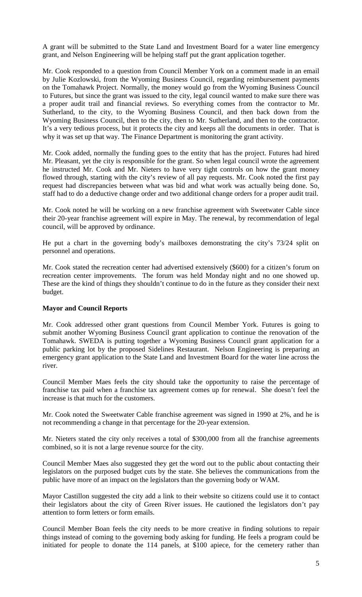A grant will be submitted to the State Land and Investment Board for a water line emergency grant, and Nelson Engineering will be helping staff put the grant application together.

Mr. Cook responded to a question from Council Member York on a comment made in an email by Julie Kozlowski, from the Wyoming Business Council, regarding reimbursement payments on the Tomahawk Project. Normally, the money would go from the Wyoming Business Council to Futures, but since the grant was issued to the city, legal council wanted to make sure there was a proper audit trail and financial reviews. So everything comes from the contractor to Mr. Sutherland, to the city, to the Wyoming Business Council, and then back down from the Wyoming Business Council, then to the city, then to Mr. Sutherland, and then to the contractor. It's a very tedious process, but it protects the city and keeps all the documents in order. That is why it was set up that way. The Finance Department is monitoring the grant activity.

Mr. Cook added, normally the funding goes to the entity that has the project. Futures had hired Mr. Pleasant, yet the city is responsible for the grant. So when legal council wrote the agreement he instructed Mr. Cook and Mr. Nieters to have very tight controls on how the grant money flowed through, starting with the city's review of all pay requests. Mr. Cook noted the first pay request had discrepancies between what was bid and what work was actually being done. So, staff had to do a deductive change order and two additional change orders for a proper audit trail.

Mr. Cook noted he will be working on a new franchise agreement with Sweetwater Cable since their 20-year franchise agreement will expire in May. The renewal, by recommendation of legal council, will be approved by ordinance.

He put a chart in the governing body's mailboxes demonstrating the city's 73/24 split on personnel and operations.

Mr. Cook stated the recreation center had advertised extensively (\$600) for a citizen's forum on recreation center improvements. The forum was held Monday night and no one showed up. These are the kind of things they shouldn't continue to do in the future as they consider their next budget.

### **Mayor and Council Reports**

Mr. Cook addressed other grant questions from Council Member York. Futures is going to submit another Wyoming Business Council grant application to continue the renovation of the Tomahawk. SWEDA is putting together a Wyoming Business Council grant application for a public parking lot by the proposed Sidelines Restaurant. Nelson Engineering is preparing an emergency grant application to the State Land and Investment Board for the water line across the river.

Council Member Maes feels the city should take the opportunity to raise the percentage of franchise tax paid when a franchise tax agreement comes up for renewal. She doesn't feel the increase is that much for the customers.

Mr. Cook noted the Sweetwater Cable franchise agreement was signed in 1990 at 2%, and he is not recommending a change in that percentage for the 20-year extension.

Mr. Nieters stated the city only receives a total of \$300,000 from all the franchise agreements combined, so it is not a large revenue source for the city.

Council Member Maes also suggested they get the word out to the public about contacting their legislators on the purposed budget cuts by the state. She believes the communications from the public have more of an impact on the legislators than the governing body or WAM.

Mayor Castillon suggested the city add a link to their website so citizens could use it to contact their legislators about the city of Green River issues. He cautioned the legislators don't pay attention to form letters or form emails.

Council Member Boan feels the city needs to be more creative in finding solutions to repair things instead of coming to the governing body asking for funding. He feels a program could be initiated for people to donate the 114 panels, at \$100 apiece, for the cemetery rather than